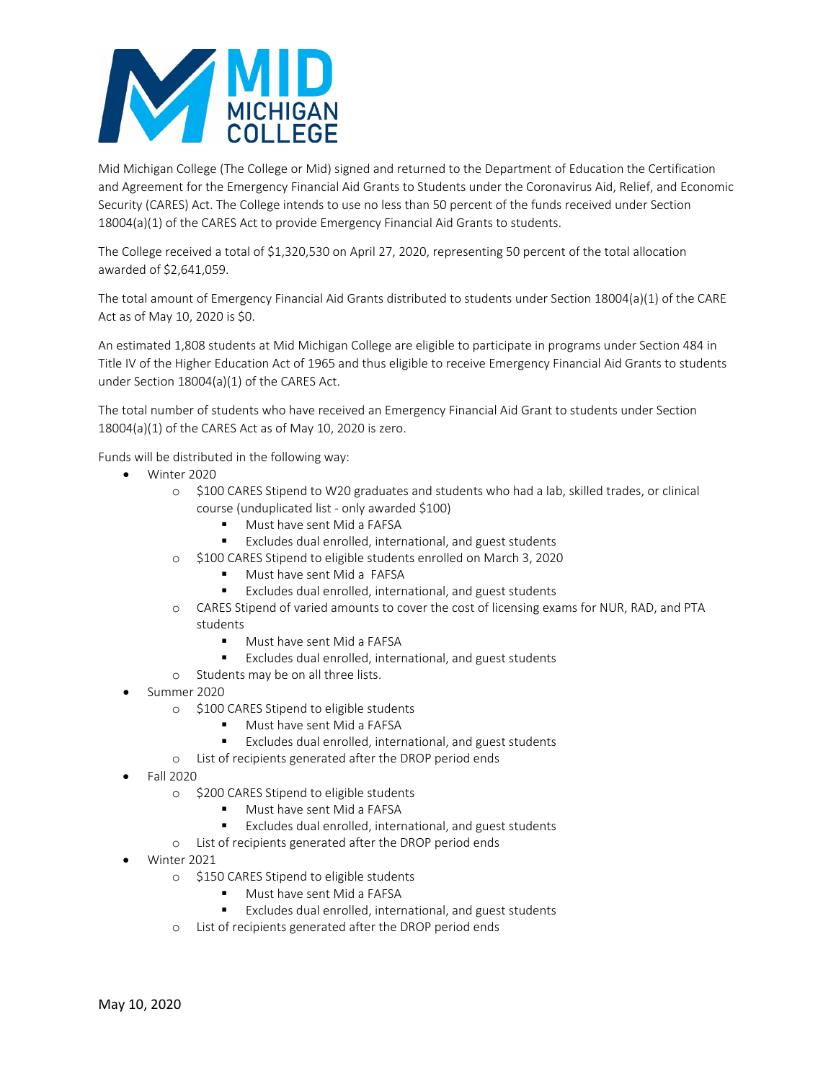

Mid Michigan College (The College or Mid) signed and returned to the Department of Education the Certification and Agreement for the Emergency Financial Aid Grants to Students under the Coronavirus Aid, Relief, and Economic Security (CARES) Act. The College intends to use no less than 50 percent of the funds received under Section 18004(a)(1) of the CARES Act to provide Emergency Financial Aid Grants to students.

The College received a total of \$1,320,530 on April 27, 2020, representing 50 percent of the total allocation awarded of \$2,641,059.

The total amount of Emergency Financial Aid Grants distributed to students under Section 18004(a)(1) of the CARE Act as of May 10, 2020 is \$0.

An estimated 1,808 students at Mid Michigan College are eligible to participate in programs under Section 484 in Title IV of the Higher Education Act of 1965 and thus eligible to receive Emergency Financial Aid Grants to students under Section 18004(a)(1) of the CARES Act.

The total number of students who have received an Emergency Financial Aid Grant to students under Section 18004(a)(1) of the CARES Act as of May 10, 2020 is zero.

Funds will be distributed in the following way:

- Winter 2020
	- o \$100 CARES Stipend to W20 graduates and students who had a lab, skilled trades, or clinical course (unduplicated list - only awarded \$100)
		- Must have sent Mid a FAFSA
		- Excludes dual enrolled, international, and guest students
	- o \$100 CARES Stipend to eligible students enrolled on March 3, 2020
		- Must have sent Mid a FAFSA
		- Excludes dual enrolled, international, and guest students
	- o CARES Stipend of varied amounts to cover the cost of licensing exams for NUR, RAD, and PTA students
		- **Must have sent Mid a FAFSA**
		- Excludes dual enrolled, international, and guest students
	- o Students may be on all three lists.
- Summer 2020
	- o \$100 CARES Stipend to eligible students
		- Must have sent Mid a FAFSA
		- Excludes dual enrolled, international, and guest students
	- o List of recipients generated after the DROP period ends
- Fall 2020
	- o \$200 CARES Stipend to eligible students
		- Must have sent Mid a FAFSA
		- Excludes dual enrolled, international, and guest students
	- o List of recipients generated after the DROP period ends
- Winter 2021
	- o \$150 CARES Stipend to eligible students
		- **Must have sent Mid a FAFSA**
		- Excludes dual enrolled, international, and guest students
	- o List of recipients generated after the DROP period ends